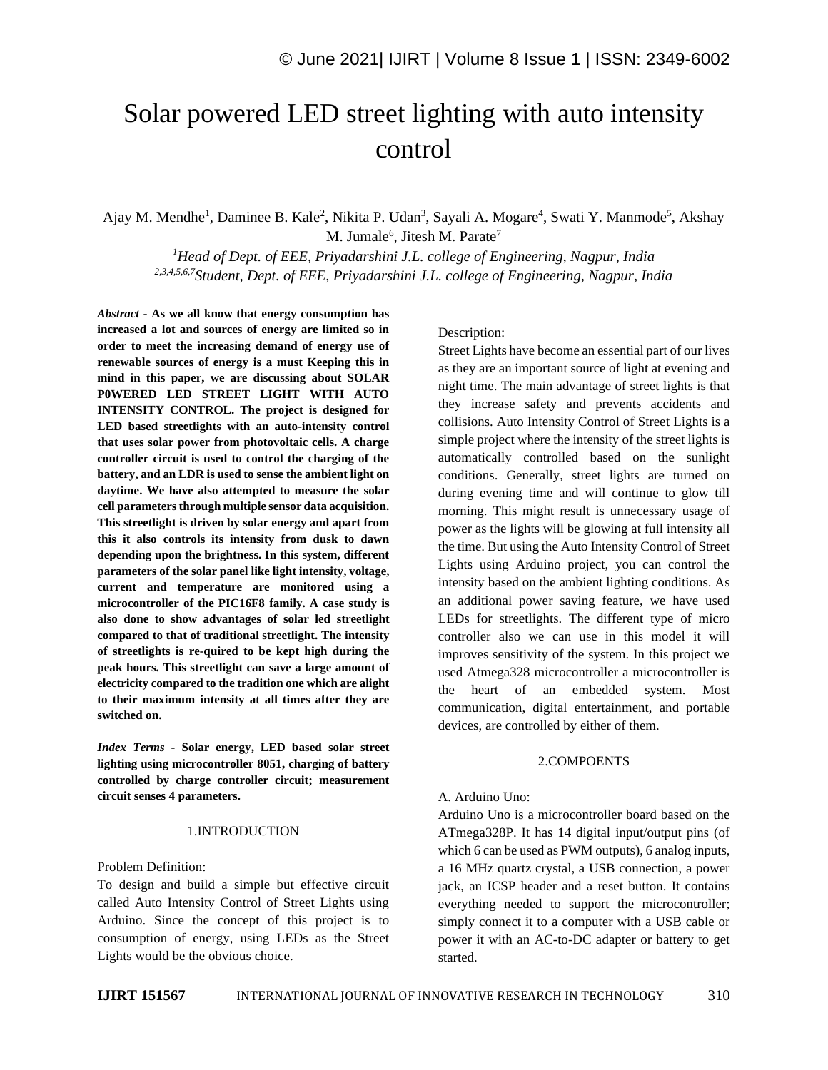# Solar powered LED street lighting with auto intensity control

Ajay M. Mendhe<sup>1</sup>, Daminee B. Kale<sup>2</sup>, Nikita P. Udan<sup>3</sup>, Sayali A. Mogare<sup>4</sup>, Swati Y. Manmode<sup>5</sup>, Akshay M. Jumale<sup>6</sup>, Jitesh M. Parate<sup>7</sup>

*<sup>1</sup>Head of Dept. of EEE, Priyadarshini J.L. college of Engineering, Nagpur, India 2,3,4,5,6,7Student, Dept. of EEE, Priyadarshini J.L. college of Engineering, Nagpur, India*

*Abstract -* **As we all know that energy consumption has increased a lot and sources of energy are limited so in order to meet the increasing demand of energy use of renewable sources of energy is a must Keeping this in mind in this paper, we are discussing about SOLAR P0WERED LED STREET LIGHT WITH AUTO INTENSITY CONTROL. The project is designed for LED based streetlights with an auto-intensity control that uses solar power from photovoltaic cells. A charge controller circuit is used to control the charging of the battery, and an LDR is used to sense the ambient light on daytime. We have also attempted to measure the solar cell parameters through multiple sensor data acquisition. This streetlight is driven by solar energy and apart from this it also controls its intensity from dusk to dawn depending upon the brightness. In this system, different parameters of the solar panel like light intensity, voltage, current and temperature are monitored using a microcontroller of the PIC16F8 family. A case study is also done to show advantages of solar led streetlight compared to that of traditional streetlight. The intensity of streetlights is re-quired to be kept high during the peak hours. This streetlight can save a large amount of electricity compared to the tradition one which are alight to their maximum intensity at all times after they are switched on.**

*Index Terms -* **Solar energy, LED based solar street lighting using microcontroller 8051, charging of battery controlled by charge controller circuit; measurement circuit senses 4 parameters.**

#### 1.INTRODUCTION

Problem Definition:

To design and build a simple but effective circuit called Auto Intensity Control of Street Lights using Arduino. Since the concept of this project is to consumption of energy, using LEDs as the Street Lights would be the obvious choice.

Description:

Street Lights have become an essential part of our lives as they are an important source of light at evening and night time. The main advantage of street lights is that they increase safety and prevents accidents and collisions. Auto Intensity Control of Street Lights is a simple project where the intensity of the street lights is automatically controlled based on the sunlight conditions. Generally, street lights are turned on during evening time and will continue to glow till morning. This might result is unnecessary usage of power as the lights will be glowing at full intensity all the time. But using the Auto Intensity Control of Street Lights using Arduino project, you can control the intensity based on the ambient lighting conditions. As an additional power saving feature, we have used LEDs for streetlights. The different type of micro controller also we can use in this model it will improves sensitivity of the system. In this project we used Atmega328 microcontroller a microcontroller is the heart of an embedded system. Most communication, digital entertainment, and portable devices, are controlled by either of them.

#### 2.COMPOENTS

# A. Arduino Uno:

Arduino Uno is a microcontroller board based on the ATmega328P. It has 14 digital input/output pins (of which 6 can be used as PWM outputs), 6 analog inputs, a 16 MHz quartz crystal, a USB connection, a power jack, an ICSP header and a reset button. It contains everything needed to support the microcontroller; simply connect it to a computer with a USB cable or power it with an AC-to-DC adapter or battery to get started.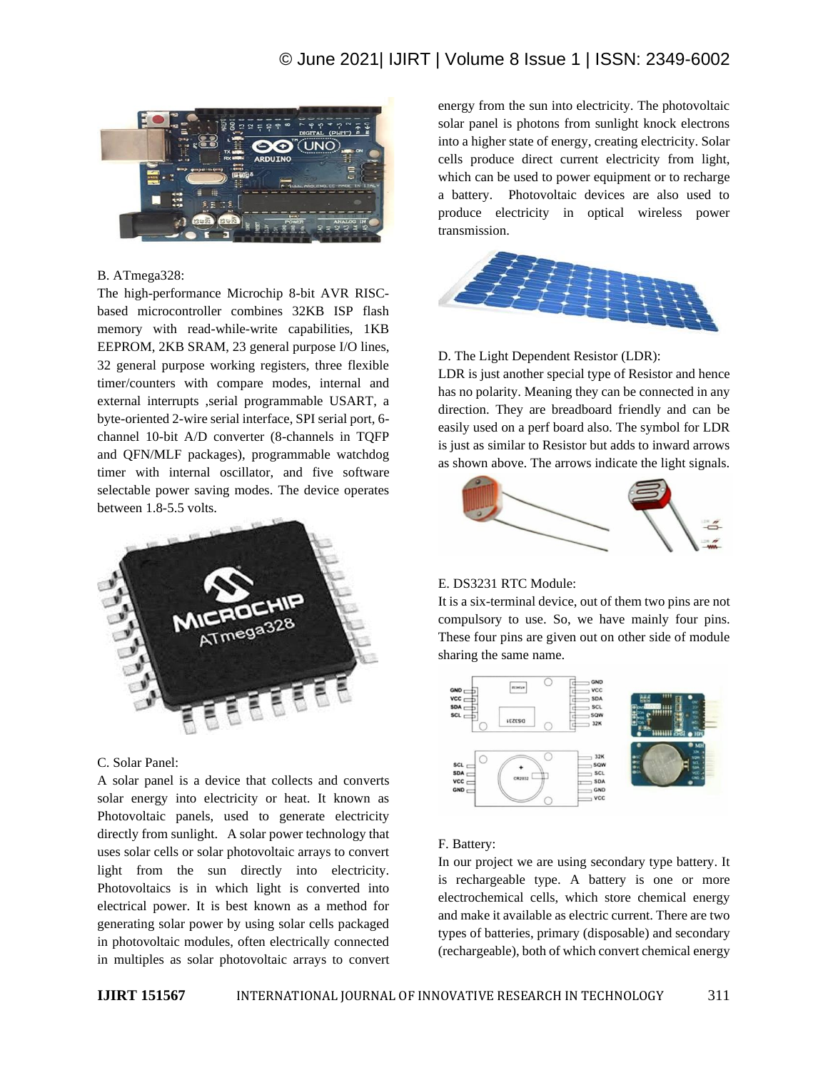# © June 2021| IJIRT | Volume 8 Issue 1 | ISSN: 2349-6002



# B. ATmega328:

The high-performance Microchip 8-bit AVR RISCbased microcontroller combines 32KB ISP flash memory with read-while-write capabilities, 1KB EEPROM, 2KB SRAM, 23 general purpose I/O lines, 32 general purpose working registers, three flexible timer/counters with compare modes, internal and external interrupts ,serial programmable USART, a byte-oriented 2-wire serial interface, SPI serial port, 6 channel 10-bit A/D converter (8-channels in TQFP and QFN/MLF packages), programmable watchdog timer with internal oscillator, and five software selectable power saving modes. The device operates between 1.8-5.5 volts.



#### C. Solar Panel:

A solar panel is a device that collects and converts solar energy into electricity or heat. It known as Photovoltaic panels, used to generate electricity directly from sunlight. A solar power technology that uses solar cells or solar photovoltaic arrays to convert light from the sun directly into electricity. Photovoltaics is in which light is converted into electrical power. It is best known as a method for generating solar power by using solar cells packaged in photovoltaic modules, often electrically connected in multiples as solar photovoltaic arrays to convert energy from the sun into electricity. The photovoltaic solar panel is photons from sunlight knock electrons into a higher state of energy, creating electricity. Solar cells produce direct current electricity from light, which can be used to power equipment or to recharge a battery. Photovoltaic devices are also used to produce electricity in optical wireless power transmission.



#### D. The Light Dependent Resistor (LDR):

LDR is just another special type of Resistor and hence has no polarity. Meaning they can be connected in any direction. They are breadboard friendly and can be easily used on a perf board also. The symbol for LDR is just as similar to Resistor but adds to inward arrows as shown above. The arrows indicate the light signals.



# E. DS3231 RTC Module:

It is a six-terminal device, out of them two pins are not compulsory to use. So, we have mainly four pins. These four pins are given out on other side of module sharing the same name.



# F. Battery:

In our project we are using secondary type battery. It is rechargeable type. A battery is one or more electrochemical cells, which store chemical energy and make it available as electric current. There are two types of batteries, primary (disposable) and secondary (rechargeable), both of which convert chemical energy